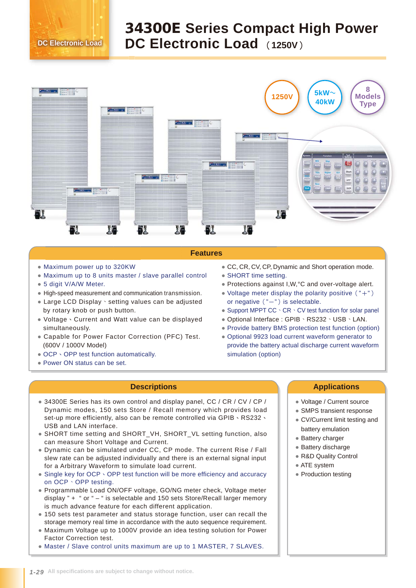## 34300E **Series Compact High Power DC Electronic Load** (**1250V**) **DC Electronic Load**



## **Features**

- Maximum power up to 320KW
- Maximum up to 8 units master / slave parallel control
- 5 digit V/A/W Meter.
- High-speed measurement and communication transmission.
- Large LCD Display、setting values can be adjusted by rotary knob or push button.
- Voltage、Current and Watt value can be displayed simultaneously.
- Capable for Power Factor Correction (PFC) Test. (600V / 1000V Model)
- OCP NOPP test function automatically.
- Power ON status can be set.
- CC, CR, CV, CP, Dynamic and Short operation mode.
- SHORT time setting.
- Protections against I,W,°C and over-voltage alert.
- Voltage meter display the polarity positive  $($  "+") or negative  $("-")$  is selectable.
- Support MPPT CC \CR \CV test function for solar panel
- Optional Interface : GPIB、RS232、USB、LAN.
- Provide battery BMS protection test function (option)
- Optional 9923 load current waveform generator to provide the battery actual discharge current waveform simulation (option)

- Dynamic modes, 150 sets Store / Recall memory which provides load ● 34300E Series has its own control and display panel, CC / CR / CV / CP / set-up more efficiently, also can be remote controlled via GPIB \ RS232 \ USB and LAN interface.
- SHORT time setting and SHORT\_VH, SHORT\_VL setting function, also can measure Short Voltage and Current.
- Dynamic can be simulated under CC, CP mode. The current Rise / Fall slew rate can be adjusted individually and there is an external signal input for a Arbitrary Waveform to simulate load current.
- Single key for OCP ⋅ OPP test function will be more efficiency and accuracy on OCP、OPP testing.
- Programmable Load ON/OFF voltage, GO/NG meter check, Voltage meter display " + " or " – " is selectable and 150 sets Store/Recall larger memory is much advance feature for each different application.
- 150 sets test parameter and status storage function, user can recall the storage memory real time in accordance with the auto sequence requirement.
- Maximum Voltage up to 1000V provide an idea testing solution for Power Factor Correction test.
- Master / Slave control units maximum are up to 1 MASTER, 7 SLAVES.

## **Descriptions Applications**

- Voltage / Current source
- SMPS transient response
- CV/Current limit testing and battery emulation
- Battery charger
- Battery discharge
- R&D Quality Control
- ATE system
- Production testing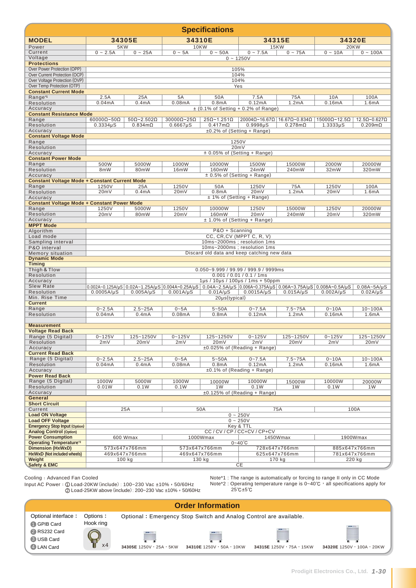| <b>Specifications</b>                                           |                                                                                                          |                                                                             |                            |                            |                                                                                                                                                                                                                                                |                |                |                              |  |  |  |
|-----------------------------------------------------------------|----------------------------------------------------------------------------------------------------------|-----------------------------------------------------------------------------|----------------------------|----------------------------|------------------------------------------------------------------------------------------------------------------------------------------------------------------------------------------------------------------------------------------------|----------------|----------------|------------------------------|--|--|--|
| <b>MODEL</b>                                                    |                                                                                                          | 34305E                                                                      | 34310E                     |                            | 34315E                                                                                                                                                                                                                                         |                | 34320E         |                              |  |  |  |
| Power                                                           | 5KW                                                                                                      |                                                                             | <b>10KW</b>                |                            |                                                                                                                                                                                                                                                | <b>15KW</b>    | 20KW           |                              |  |  |  |
| Current                                                         | $0 - 2.5A$                                                                                               | $0 - 25A$                                                                   | $0 - 5A$                   | $0 - 50A$                  | $0 - 7.5A$                                                                                                                                                                                                                                     | $0 - 75A$      | $0 - 10A$      | $0 - 100A$                   |  |  |  |
| Voltage                                                         |                                                                                                          |                                                                             |                            |                            | $0 - 1250V$                                                                                                                                                                                                                                    |                |                |                              |  |  |  |
| <b>Protections</b><br>Over Power Protection (OPP)               | 105%                                                                                                     |                                                                             |                            |                            |                                                                                                                                                                                                                                                |                |                |                              |  |  |  |
| Over Current Protection (OCP)                                   | 104%                                                                                                     |                                                                             |                            |                            |                                                                                                                                                                                                                                                |                |                |                              |  |  |  |
| Over Voltage Protection (OVP)                                   | 104%                                                                                                     |                                                                             |                            |                            |                                                                                                                                                                                                                                                |                |                |                              |  |  |  |
| Over Temp Protection (OTP)                                      | Yes                                                                                                      |                                                                             |                            |                            |                                                                                                                                                                                                                                                |                |                |                              |  |  |  |
| <b>Constant Current Mode</b>                                    |                                                                                                          |                                                                             |                            |                            |                                                                                                                                                                                                                                                |                |                |                              |  |  |  |
| Range <sup>*1</sup>                                             | 2.5A                                                                                                     | 25A                                                                         | 5A<br>0.08mA               | 50A<br>0.8 <sub>m</sub> A  | 7.5A<br>0.12mA                                                                                                                                                                                                                                 | 75A<br>1.2mA   | 10A            | 100A                         |  |  |  |
| Resolution<br>Accuracy                                          | 0.04mA                                                                                                   | 0.4 <sub>m</sub> A                                                          |                            |                            |                                                                                                                                                                                                                                                |                | 0.16mA         | 1.6mA                        |  |  |  |
| <b>Constant Resistance Mode</b>                                 | $\pm$ (0.1% of Setting + 0.2% of Range)                                                                  |                                                                             |                            |                            |                                                                                                                                                                                                                                                |                |                |                              |  |  |  |
| Range                                                           | $60000\Omega - 50\Omega$                                                                                 | $50\Omega$ ~2.502 $\Omega$                                                  | $30000\Omega$ ~25 $\Omega$ | $25\Omega$ ~1.251 $\Omega$ | $20004\Omega$ ~ 16.67 $\Omega$   16.67 $\Omega$ ~ 0.834 $\Omega$                                                                                                                                                                               |                | 15000Ω~12.5Ω   | $12.5\Omega$ ~0.627 $\Omega$ |  |  |  |
| Resolution                                                      | $0.3334 \mu S$                                                                                           | $0.834m\Omega$                                                              | $0.6667 \mu S$             | $0.417m\Omega$             | 0.9998 <sub>µ</sub> S                                                                                                                                                                                                                          | $0.278m\Omega$ | $1.3333\mu S$  | $0.209m\Omega$               |  |  |  |
| Accuracy                                                        |                                                                                                          |                                                                             |                            |                            | ±0.2% of (Setting + Range)                                                                                                                                                                                                                     |                |                |                              |  |  |  |
| <b>Constant Voltage Mode</b>                                    |                                                                                                          |                                                                             |                            |                            |                                                                                                                                                                                                                                                |                |                |                              |  |  |  |
| Range<br>Resolution                                             | 1250V<br>20mV                                                                                            |                                                                             |                            |                            |                                                                                                                                                                                                                                                |                |                |                              |  |  |  |
| Accuracy                                                        | $\pm$ 0.05% of (Setting + Range)                                                                         |                                                                             |                            |                            |                                                                                                                                                                                                                                                |                |                |                              |  |  |  |
| <b>Constant Power Mode</b>                                      |                                                                                                          |                                                                             |                            |                            |                                                                                                                                                                                                                                                |                |                |                              |  |  |  |
| Range                                                           | 500W                                                                                                     | 5000W                                                                       | 1000W                      | 10000W                     | 1500W                                                                                                                                                                                                                                          | 15000W         | 2000W          | 20000W                       |  |  |  |
| Resolution                                                      | 8mW                                                                                                      | 80mW                                                                        | 16mW                       | 160mW                      | 24mW                                                                                                                                                                                                                                           | 240mW          | 32mW           | 320mW                        |  |  |  |
| Accuracy                                                        |                                                                                                          |                                                                             |                            |                            | $\pm$ 0.5% of (Setting + Range)                                                                                                                                                                                                                |                |                |                              |  |  |  |
| Constant Voltage Mode + Constant Current Mode<br>Range          | 1250V                                                                                                    | 25A                                                                         | 1250V                      | 50A                        | 1250V                                                                                                                                                                                                                                          | 75A            | 1250V          | 100A                         |  |  |  |
| Resolution                                                      | 20mV                                                                                                     | 0.4 <sub>m</sub> A                                                          | 20mV                       | 0.8 <sub>m</sub> A         | 20mV                                                                                                                                                                                                                                           | 1.2mA          | 20mV           | 1.6mA                        |  |  |  |
| Accuracy                                                        |                                                                                                          |                                                                             |                            |                            | ± 1% of (Setting + Range)                                                                                                                                                                                                                      |                |                |                              |  |  |  |
| <b>Constant Voltage Mode + Constant Power Mode</b>              |                                                                                                          |                                                                             |                            |                            |                                                                                                                                                                                                                                                |                |                |                              |  |  |  |
| Range                                                           | 1250V                                                                                                    | 5000W                                                                       | 1250V                      | 10000W                     | 1250V                                                                                                                                                                                                                                          | 15000W         | 1250V          | 20000W                       |  |  |  |
| Resolution<br>Accuracy                                          | 20mV                                                                                                     | 80mW                                                                        | 20mV                       | 160mW                      | 20mV                                                                                                                                                                                                                                           | 240mW          | 20mV           | 320mW                        |  |  |  |
| <b>MPPT Mode</b>                                                | ± 1.0% of (Setting + Range)                                                                              |                                                                             |                            |                            |                                                                                                                                                                                                                                                |                |                |                              |  |  |  |
| Algorithm                                                       | P&O + Scanning                                                                                           |                                                                             |                            |                            |                                                                                                                                                                                                                                                |                |                |                              |  |  |  |
| Load mode                                                       | CC, CR, CV (MPPT C, R, V)                                                                                |                                                                             |                            |                            |                                                                                                                                                                                                                                                |                |                |                              |  |  |  |
| Sampling interval                                               | 10ms~2000ms; resolution 1ms                                                                              |                                                                             |                            |                            |                                                                                                                                                                                                                                                |                |                |                              |  |  |  |
| P&O interval<br>Memory situation                                |                                                                                                          | 10ms~2000ms ; resolution 1ms<br>Discard old data and keep catching new data |                            |                            |                                                                                                                                                                                                                                                |                |                |                              |  |  |  |
| <b>Dynamic Mode</b>                                             |                                                                                                          |                                                                             |                            |                            |                                                                                                                                                                                                                                                |                |                |                              |  |  |  |
| <b>Timing</b>                                                   |                                                                                                          |                                                                             |                            |                            |                                                                                                                                                                                                                                                |                |                |                              |  |  |  |
| Thigh & Tlow                                                    |                                                                                                          |                                                                             |                            |                            | 0.050~9.999 / 99.99 / 999.9 / 9999ms                                                                                                                                                                                                           |                |                |                              |  |  |  |
| Resolution                                                      |                                                                                                          |                                                                             |                            |                            | $0.001 / 0.01 / 0.1 / 1$ ms                                                                                                                                                                                                                    |                |                |                              |  |  |  |
| Accuracy<br><b>Slew Rate</b>                                    |                                                                                                          |                                                                             |                            |                            | 1µs / 10µs / 100µs / 1ms + 50ppm<br>$0.002$ A $\sim$ 0.125A/µS $\mid$ 0.02A $\sim$ 1.25A/µS $\mid$ 0.004A $\sim$ 0.25A/µS $\mid$ 0.04A $\sim$ 2.5A/µS $\mid$ 0.006A $\sim$ 0.375A/µS $\mid$ 0.06A $\sim$ 3.75A/µS $\mid$ 0.008A $\sim$ 0.5A/µS |                |                | $0.08A - 5A/\mu S$           |  |  |  |
| Resolution                                                      | $0.0005A/\mu S$                                                                                          | $0.005A/\mu S$                                                              | $0.001A/\mu S$             | 0.01A/uS                   | $0.0015A/\mu S$                                                                                                                                                                                                                                | $0.015A/\mu S$ | $0.002A/\mu S$ | $0.02A/\mu S$                |  |  |  |
| Min. Rise Time                                                  |                                                                                                          |                                                                             |                            | 20µs(typical)              |                                                                                                                                                                                                                                                |                |                |                              |  |  |  |
| <b>Current</b>                                                  |                                                                                                          |                                                                             |                            |                            |                                                                                                                                                                                                                                                |                |                |                              |  |  |  |
| Range                                                           | $0 - 2.5A$                                                                                               | $2.5 - 25A$                                                                 | $0 - 5A$                   | $5 - 50A$                  | $0 - 7.5A$                                                                                                                                                                                                                                     | $7.5 - 75A$    | $0 - 10A$      | $10 - 100A$                  |  |  |  |
| Resolution                                                      | 0.04mA                                                                                                   | 0.4 <sub>m</sub> A                                                          | 0.08mA                     | 0.8 <sub>m</sub> A         | 0.12mA                                                                                                                                                                                                                                         | 1.2mA          | 0.16mA         | 1.6mA                        |  |  |  |
| <b>Measurement</b>                                              |                                                                                                          |                                                                             |                            |                            |                                                                                                                                                                                                                                                |                |                |                              |  |  |  |
| <b>Voltage Read Back</b>                                        |                                                                                                          |                                                                             |                            |                            |                                                                                                                                                                                                                                                |                |                |                              |  |  |  |
| Range (5 Digital)                                               | $0 - 125V$                                                                                               | 125~1250V                                                                   | $0 - 125V$                 | 125~1250V                  | $0 - 125V$                                                                                                                                                                                                                                     | 125~1250V      | $0 - 125V$     | 125~1250V                    |  |  |  |
| Resolution                                                      | 2mV                                                                                                      | 20mV                                                                        | 2mV                        | 20mV                       | 2mV                                                                                                                                                                                                                                            | 20mV           | 2mV            | 20mV                         |  |  |  |
| Accuracy<br><b>Current Read Back</b>                            |                                                                                                          |                                                                             |                            |                            | $±0.025%$ of (Reading + Range)                                                                                                                                                                                                                 |                |                |                              |  |  |  |
| Range (5 Digital)                                               | $0 - 2.5A$                                                                                               | $2.5 - 25A$                                                                 | $0 - 5A$                   | $5 - 50A$                  | $0 - 7.5A$                                                                                                                                                                                                                                     | $7.5 - 75A$    | $0 - 10A$      | $10 - 100A$                  |  |  |  |
| Resolution                                                      | 0.04mA                                                                                                   | 0.4 <sub>m</sub> A                                                          | 0.08mA                     | 0.8 <sub>m</sub> A         | 0.12mA                                                                                                                                                                                                                                         | 1.2mA          | 0.16mA         | 1.6 <sub>m</sub> A           |  |  |  |
| Accuracy                                                        |                                                                                                          |                                                                             |                            |                            | $±0.1\%$ of (Reading + Range)                                                                                                                                                                                                                  |                |                |                              |  |  |  |
| <b>Power Read Back</b>                                          |                                                                                                          |                                                                             |                            |                            |                                                                                                                                                                                                                                                |                |                |                              |  |  |  |
| Range (5 Digital)                                               | 1000W                                                                                                    | 5000W                                                                       | 1000W                      | 10000W                     | 10000W                                                                                                                                                                                                                                         | 15000W         | 10000W         | 20000W                       |  |  |  |
| Resolution<br>Accuracy                                          | 0.01W                                                                                                    | 0.1W                                                                        | 0.1W                       | 1W                         | 0.1W<br>$±0.125%$ of (Reading + Range)                                                                                                                                                                                                         | 1W             | 0.1W           | 1W                           |  |  |  |
| General                                                         |                                                                                                          |                                                                             |                            |                            |                                                                                                                                                                                                                                                |                |                |                              |  |  |  |
| <b>Short Circuit</b>                                            |                                                                                                          |                                                                             |                            |                            |                                                                                                                                                                                                                                                |                |                |                              |  |  |  |
| Current                                                         | 25A                                                                                                      |                                                                             | 50A                        |                            | 75A                                                                                                                                                                                                                                            |                | 100A           |                              |  |  |  |
| <b>Load ON Voltage</b>                                          | $0 - 250V$                                                                                               |                                                                             |                            |                            |                                                                                                                                                                                                                                                |                |                |                              |  |  |  |
| <b>Load OFF Voltage</b><br><b>Emergency Stop Input (Option)</b> |                                                                                                          | $0 - 250V$                                                                  |                            |                            |                                                                                                                                                                                                                                                |                |                |                              |  |  |  |
| <b>Analog Control (Option)</b>                                  | Key & TTL<br>CC / CV / CP / CC+CV / CP+CV                                                                |                                                                             |                            |                            |                                                                                                                                                                                                                                                |                |                |                              |  |  |  |
| <b>Power Consumption</b>                                        |                                                                                                          | 600 Wmax                                                                    | 1000Wmax                   |                            | 1450Wmax                                                                                                                                                                                                                                       |                | 1900Wmax       |                              |  |  |  |
| <b>Operating Temperature</b> <sup>2</sup>                       |                                                                                                          |                                                                             |                            |                            | $0 - 40^{\circ}C$                                                                                                                                                                                                                              |                |                |                              |  |  |  |
| <b>Dimension (HxWxD)</b>                                        | 573x647x766mm<br>573x647x766mm                                                                           |                                                                             |                            |                            | 728x647x766mm                                                                                                                                                                                                                                  |                |                | 885x647x766mm                |  |  |  |
| <b>HxWxD (Not included wheels)</b><br>Weight                    | 469x647x766mm<br>469x647x766mm<br>625x647x766mm<br>781x647x766mm<br>100 kg<br>130 kg<br>170 kg<br>220 kg |                                                                             |                            |                            |                                                                                                                                                                                                                                                |                |                |                              |  |  |  |
| <b>Safety &amp; EMC</b>                                         |                                                                                                          |                                                                             |                            |                            | СE                                                                                                                                                                                                                                             |                |                |                              |  |  |  |
|                                                                 |                                                                                                          |                                                                             |                            |                            |                                                                                                                                                                                                                                                |                |                |                              |  |  |  |

Cooling: Advanced Fan Cooled

Input AC Power : ① Load-20KW (include) : 100~230 Vac ±10%,50/60Hz 2 Load-25KW above (include): 200~230 Vac ±10%, 50/60Hz Note\*1 : The range is automatically or forcing to range II only in CC Mode

Note\*2 : Operating temperature range is 0~40℃, all specifications apply for 25℃±5℃